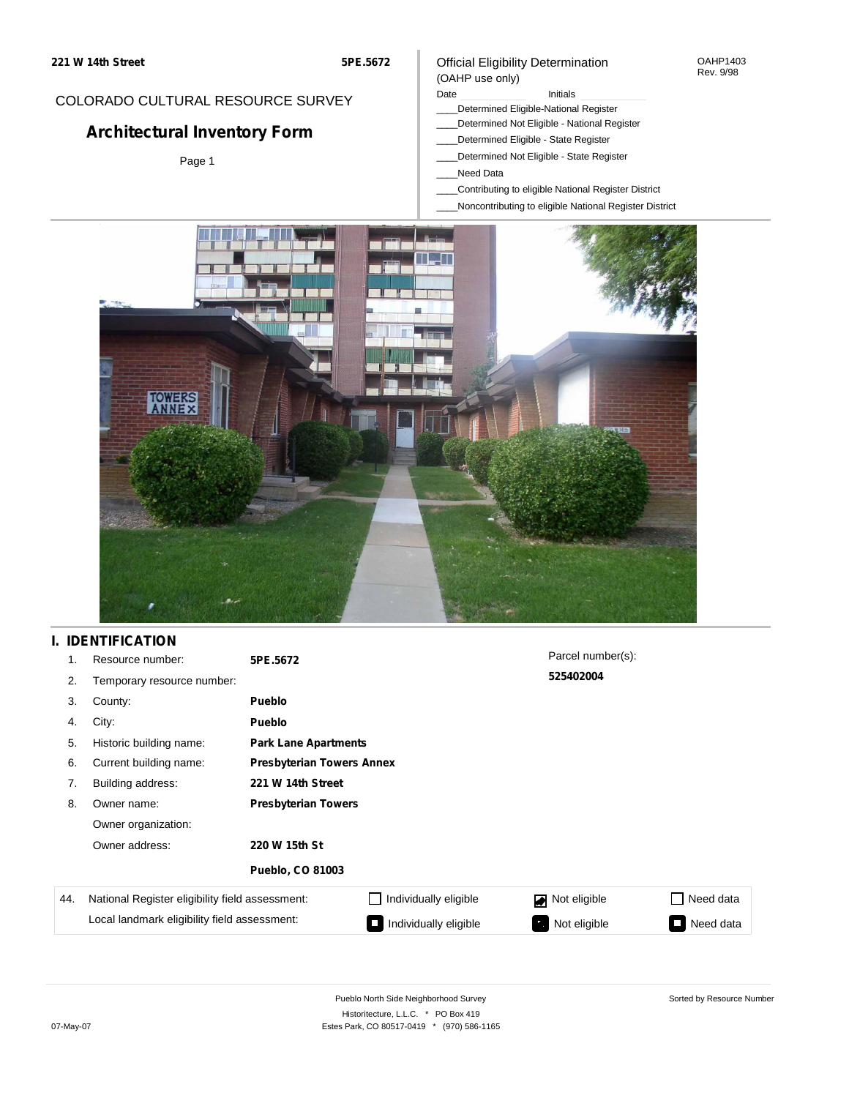## COLORADO CULTURAL RESOURCE SURVEY

# **Architectural Inventory Form**

Page 1

#### Official Eligibility Determination (OAHP use only)

#### Date **Initials** Initials

- \_\_\_\_Determined Eligible-National Register
- \_\_\_\_Determined Not Eligible National Register
- \_\_\_\_Determined Eligible State Register
- \_\_\_\_Determined Not Eligible State Register
- \_\_\_\_Need Data
- \_\_\_\_Contributing to eligible National Register District
- \_\_\_\_Noncontributing to eligible National Register District



## **I. IDENTIFICATION**

| 1.  | Resource number:                                | 5PE.5672                         |                             | Parcel number(s): |                  |  |  |  |
|-----|-------------------------------------------------|----------------------------------|-----------------------------|-------------------|------------------|--|--|--|
| 2.  | Temporary resource number:                      | 525402004                        |                             |                   |                  |  |  |  |
| 3.  | County:                                         | Pueblo                           |                             |                   |                  |  |  |  |
| 4.  | City:                                           | Pueblo                           |                             |                   |                  |  |  |  |
| 5.  | Historic building name:                         |                                  | <b>Park Lane Apartments</b> |                   |                  |  |  |  |
| 6.  | Current building name:                          | <b>Presbyterian Towers Annex</b> |                             |                   |                  |  |  |  |
| 7.  | Building address:                               | 221 W 14th Street                |                             |                   |                  |  |  |  |
| 8.  | Owner name:                                     | <b>Presbyterian Towers</b>       |                             |                   |                  |  |  |  |
|     | Owner organization:                             |                                  |                             |                   |                  |  |  |  |
|     | Owner address:                                  | 220 W 15th St                    |                             |                   |                  |  |  |  |
|     |                                                 | <b>Pueblo, CO 81003</b>          |                             |                   |                  |  |  |  |
| 44. | National Register eligibility field assessment: |                                  | Individually eligible       | Not eligible      | $\Box$ Need data |  |  |  |
|     | Local landmark eligibility field assessment:    |                                  | Individually eligible       | Not eligible      | Need data        |  |  |  |

Sorted by Resource Number

OAHP1403 Rev. 9/98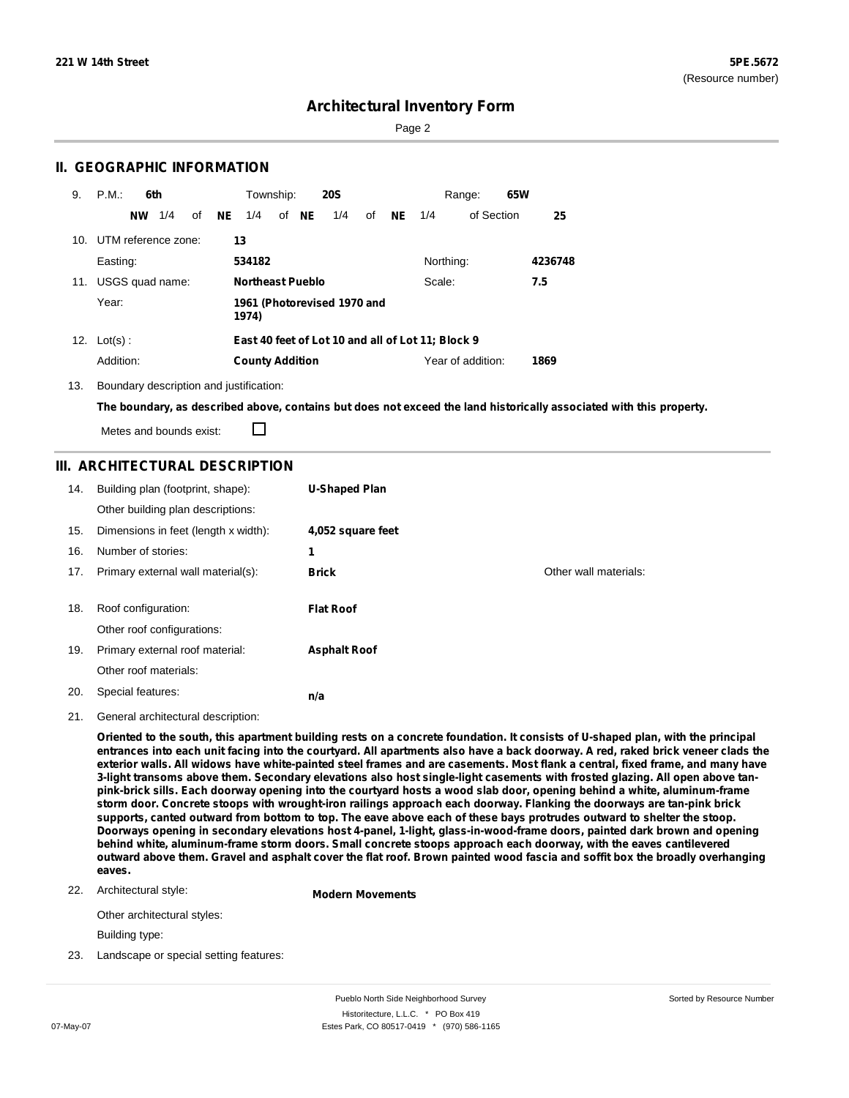Page 2

### **II. GEOGRAPHIC INFORMATION**

| 9.  | P.M.                | 6th       |                 |    |    | Township:               |       | <b>20S</b>                  |    |     |                                                   | Range:            | 65W |         |
|-----|---------------------|-----------|-----------------|----|----|-------------------------|-------|-----------------------------|----|-----|---------------------------------------------------|-------------------|-----|---------|
|     |                     | <b>NW</b> | 1/4             | of | NE | 1/4                     | of NE | 1/4                         | of | NE. | 1/4                                               | of Section        |     | 25      |
| 10. | UTM reference zone: |           |                 |    |    | 13                      |       |                             |    |     |                                                   |                   |     |         |
|     | Easting:            |           |                 |    |    | 534182                  |       |                             |    |     | Northing:                                         |                   |     | 4236748 |
| 11. |                     |           | USGS quad name: |    |    | <b>Northeast Pueblo</b> |       |                             |    |     | Scale:                                            |                   |     | 7.5     |
|     | Year:               |           |                 |    |    | 1974)                   |       | 1961 (Photorevised 1970 and |    |     |                                                   |                   |     |         |
|     | 12. $Lot(s)$ :      |           |                 |    |    |                         |       |                             |    |     | East 40 feet of Lot 10 and all of Lot 11; Block 9 |                   |     |         |
|     | Addition:           |           |                 |    |    | <b>County Addition</b>  |       |                             |    |     |                                                   | Year of addition: |     | 1869    |

13. Boundary description and justification:

The boundary, as described above, contains but does not exceed the land historically associated with this property.

Metes and bounds exist:

П

### **III. ARCHITECTURAL DESCRIPTION**

| 14. | Building plan (footprint, shape):<br>Other building plan descriptions: | <b>U-Shaped Plan</b> |                       |
|-----|------------------------------------------------------------------------|----------------------|-----------------------|
| 15. | Dimensions in feet (length x width):                                   | 4,052 square feet    |                       |
| 16. | Number of stories:                                                     | 1                    |                       |
| 17. | Primary external wall material(s):                                     | <b>Brick</b>         | Other wall materials: |
|     |                                                                        |                      |                       |
| 18. | Roof configuration:                                                    | <b>Flat Roof</b>     |                       |
|     |                                                                        |                      |                       |
|     | Other roof configurations:                                             |                      |                       |
| 19. | Primary external roof material:                                        | <b>Asphalt Roof</b>  |                       |
|     | Other roof materials:                                                  |                      |                       |

21. General architectural description:

Oriented to the south, this apartment building rests on a concrete foundation. It consists of U-shaped plan, with the principal entrances into each unit facing into the courtyard. All apartments also have a back doorway. A red, raked brick veneer clads the exterior walls. All widows have white-painted steel frames and are casements. Most flank a central, fixed frame, and many have 3-light transoms above them. Secondary elevations also host single-light casements with frosted glazing. All open above tanpink-brick sills. Each doorway opening into the courtyard hosts a wood slab door, opening behind a white, aluminum-frame storm door. Concrete stoops with wrought-iron railings approach each doorway. Flanking the doorways are tan-pink brick supports, canted outward from bottom to top. The eave above each of these bays protrudes outward to shelter the stoop. Doorways opening in secondary elevations host 4-panel, 1-light, glass-in-wood-frame doors, painted dark brown and opening **behind white, aluminum-frame storm doors. Small concrete stoops approach each doorway, with the eaves cantilevered** outward above them. Gravel and asphalt cover the flat roof. Brown painted wood fascia and soffit box the broadly overhanging **eaves.**

22. Architectural style:

**Modern Movements**

Other architectural styles:

Building type:

23. Landscape or special setting features: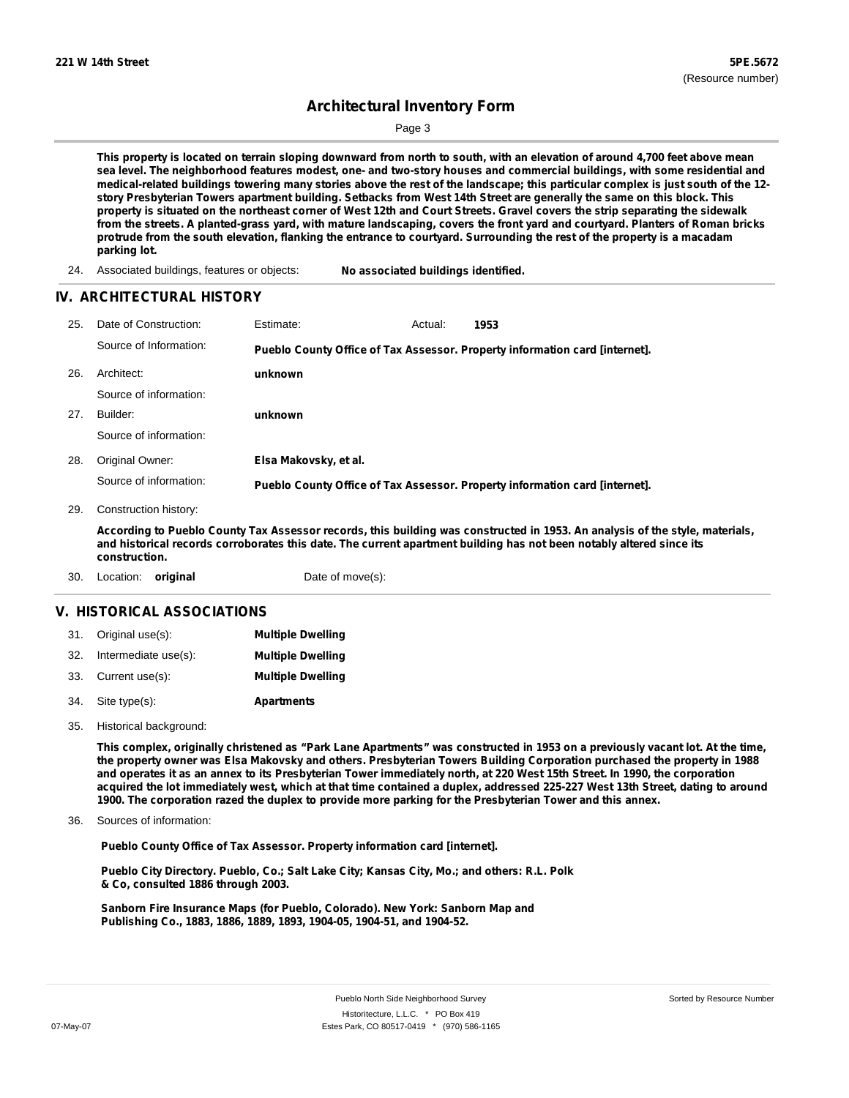Page 3

This property is located on terrain sloping downward from north to south, with an elevation of around 4,700 feet above mean sea level. The neighborhood features modest, one- and two-story houses and commercial buildings, with some residential and medical-related buildings towering many stories above the rest of the landscape; this particular complex is just south of the 12story Presbyterian Towers apartment building. Setbacks from West 14th Street are generally the same on this block. This property is situated on the northeast corner of West 12th and Court Streets. Gravel covers the strip separating the sidewalk from the streets. A planted-grass yard, with mature landscaping, covers the front yard and courtyard. Planters of Roman bricks protrude from the south elevation, flanking the entrance to courtyard. Surrounding the rest of the property is a macadam **parking lot.**

24. Associated buildings, features or objects: **No associated buildings identified.**

#### **IV. ARCHITECTURAL HISTORY**

- **1953 unknown unknown Elsa Makovsky, et al.** 25. Date of Construction: Estimate: Actual: Architect: 27. Builder: 28. Original Owner: 26. Source of Information: Source of information: Source of information: Source of information: **Pueblo County Office of Tax Assessor. Property information card [internet]. Pueblo County Office of Tax Assessor. Property information card [internet].**
- 29. Construction history:

According to Pueblo County Tax Assessor records, this building was constructed in 1953. An analysis of the style, materials, and historical records corroborates this date. The current apartment building has not been notably altered since its **construction.**

30. Location: **original** Date of move(s):

#### **V. HISTORICAL ASSOCIATIONS**

|     | 31. Original use(s): | <b>Multiple Dwelling</b> |
|-----|----------------------|--------------------------|
| 32. | Intermediate use(s): | <b>Multiple Dwelling</b> |
|     | 33. Current use(s):  | <b>Multiple Dwelling</b> |
|     | 34. Site type(s):    | <b>Apartments</b>        |

35. Historical background:

This complex, originally christened as "Park Lane Apartments" was constructed in 1953 on a previously vacant lot. At the time, the property owner was Elsa Makovsky and others. Presbyterian Towers Building Corporation purchased the property in 1988 and operates it as an annex to its Presbyterian Tower immediately north, at 220 West 15th Street. In 1990, the corporation acquired the lot immediately west, which at that time contained a duplex, addressed 225-227 West 13th Street, dating to around **1900. The corporation razed the duplex to provide more parking for the Presbyterian Tower and this annex.**

Sources of information: 36.

**Pueblo County Office of Tax Assessor. Property information card [internet].**

**Pueblo City Directory. Pueblo, Co.; Salt Lake City; Kansas City, Mo.; and others: R.L. Polk & Co, consulted 1886 through 2003.**

**Sanborn Fire Insurance Maps (for Pueblo, Colorado). New York: Sanborn Map and Publishing Co., 1883, 1886, 1889, 1893, 1904-05, 1904-51, and 1904-52.**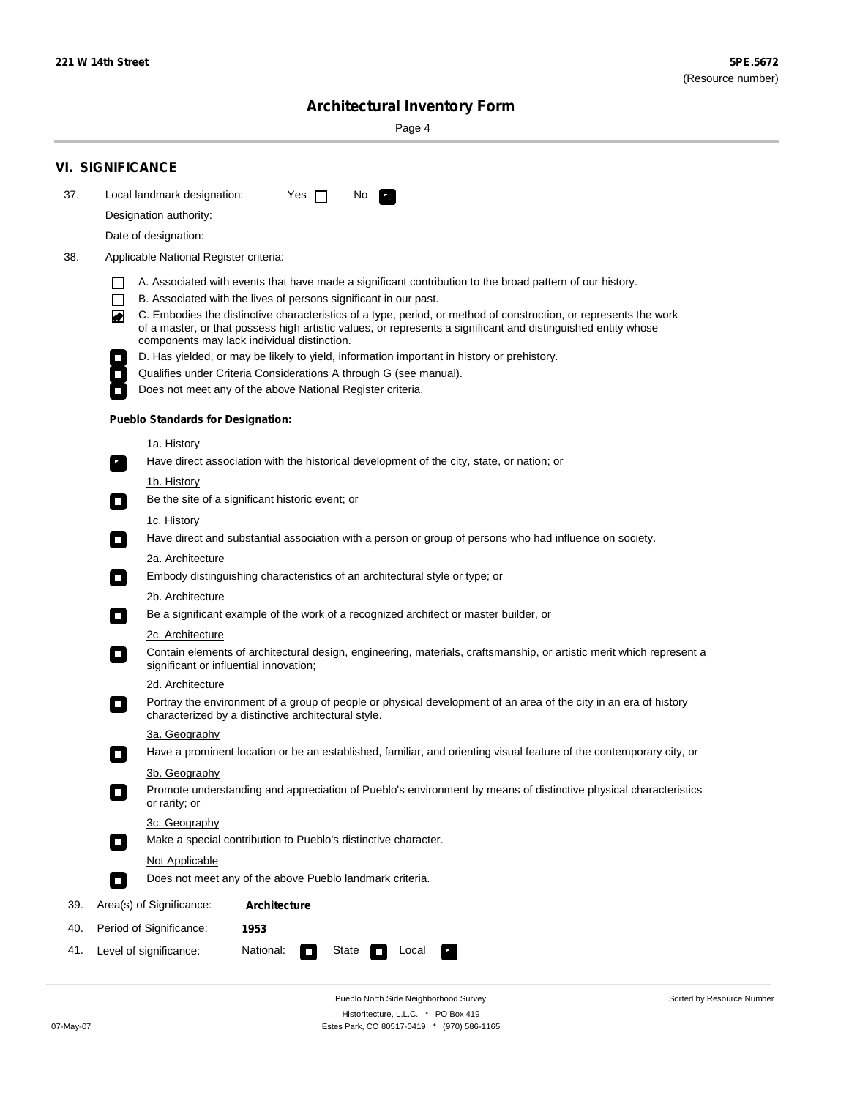Sorted by Resource Number

# **Architectural Inventory Form**

Page 4

|     | <b>VI. SIGNIFICANCE</b>                                                                                                                                                                                        |  |  |  |  |  |  |  |
|-----|----------------------------------------------------------------------------------------------------------------------------------------------------------------------------------------------------------------|--|--|--|--|--|--|--|
| 37. | Local landmark designation:<br>Yes<br>No.<br>$\mathbf{I}$<br>$\mathbf{r}_\perp$                                                                                                                                |  |  |  |  |  |  |  |
|     | Designation authority:                                                                                                                                                                                         |  |  |  |  |  |  |  |
|     | Date of designation:                                                                                                                                                                                           |  |  |  |  |  |  |  |
| 38. | Applicable National Register criteria:                                                                                                                                                                         |  |  |  |  |  |  |  |
|     |                                                                                                                                                                                                                |  |  |  |  |  |  |  |
|     | A. Associated with events that have made a significant contribution to the broad pattern of our history.<br>ΙI<br>$\Box$<br>B. Associated with the lives of persons significant in our past.                   |  |  |  |  |  |  |  |
|     | ◙<br>C. Embodies the distinctive characteristics of a type, period, or method of construction, or represents the work                                                                                          |  |  |  |  |  |  |  |
|     | of a master, or that possess high artistic values, or represents a significant and distinguished entity whose<br>components may lack individual distinction.                                                   |  |  |  |  |  |  |  |
|     | D. Has yielded, or may be likely to yield, information important in history or prehistory.                                                                                                                     |  |  |  |  |  |  |  |
|     | Qualifies under Criteria Considerations A through G (see manual).                                                                                                                                              |  |  |  |  |  |  |  |
|     | Does not meet any of the above National Register criteria.                                                                                                                                                     |  |  |  |  |  |  |  |
|     | <b>Pueblo Standards for Designation:</b>                                                                                                                                                                       |  |  |  |  |  |  |  |
|     | <u>1a. History</u>                                                                                                                                                                                             |  |  |  |  |  |  |  |
|     | Have direct association with the historical development of the city, state, or nation; or<br>۳.                                                                                                                |  |  |  |  |  |  |  |
|     | <u>1b. History</u>                                                                                                                                                                                             |  |  |  |  |  |  |  |
|     | Be the site of a significant historic event; or<br>$\overline{\phantom{a}}$                                                                                                                                    |  |  |  |  |  |  |  |
|     | 1c. History                                                                                                                                                                                                    |  |  |  |  |  |  |  |
|     | Have direct and substantial association with a person or group of persons who had influence on society.<br>$\overline{\phantom{a}}$                                                                            |  |  |  |  |  |  |  |
|     | 2a. Architecture                                                                                                                                                                                               |  |  |  |  |  |  |  |
|     | Embody distinguishing characteristics of an architectural style or type; or<br>$\overline{\phantom{a}}$                                                                                                        |  |  |  |  |  |  |  |
|     | 2b. Architecture<br>Be a significant example of the work of a recognized architect or master builder, or                                                                                                       |  |  |  |  |  |  |  |
|     | $\Box$                                                                                                                                                                                                         |  |  |  |  |  |  |  |
|     | 2c. Architecture<br>Contain elements of architectural design, engineering, materials, craftsmanship, or artistic merit which represent a<br>$\overline{\phantom{a}}$<br>significant or influential innovation; |  |  |  |  |  |  |  |
|     | 2d. Architecture                                                                                                                                                                                               |  |  |  |  |  |  |  |
|     | Portray the environment of a group of people or physical development of an area of the city in an era of history<br>$\overline{\phantom{a}}$<br>characterized by a distinctive architectural style.            |  |  |  |  |  |  |  |
|     | 3a. Geography                                                                                                                                                                                                  |  |  |  |  |  |  |  |
|     | Have a prominent location or be an established, familiar, and orienting visual feature of the contemporary city, or<br>П                                                                                       |  |  |  |  |  |  |  |
|     | 3b. Geography<br>Promote understanding and appreciation of Pueblo's environment by means of distinctive physical characteristics<br>or rarity; or                                                              |  |  |  |  |  |  |  |
|     | 3c. Geography                                                                                                                                                                                                  |  |  |  |  |  |  |  |
|     | Make a special contribution to Pueblo's distinctive character.<br>$\Box$                                                                                                                                       |  |  |  |  |  |  |  |
|     | Not Applicable                                                                                                                                                                                                 |  |  |  |  |  |  |  |
|     | Does not meet any of the above Pueblo landmark criteria.<br>Ō.                                                                                                                                                 |  |  |  |  |  |  |  |
| 39. | Area(s) of Significance:<br><b>Architecture</b>                                                                                                                                                                |  |  |  |  |  |  |  |
| 40. | Period of Significance:<br>1953                                                                                                                                                                                |  |  |  |  |  |  |  |
| 41. | National:<br>Level of significance:<br>State<br>Local<br>$\overline{\phantom{a}}$<br>72<br>П                                                                                                                   |  |  |  |  |  |  |  |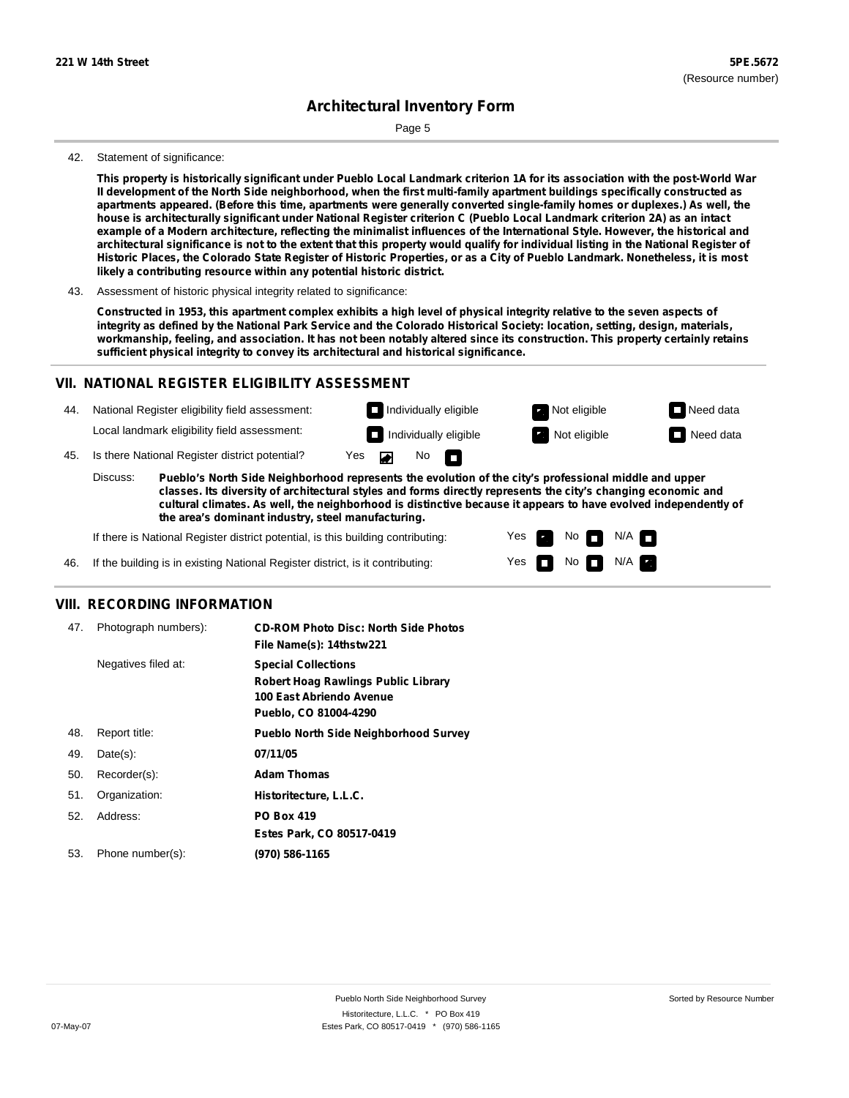Page 5

#### 42. Statement of significance:

This property is historically significant under Pueblo Local Landmark criterion 1A for its association with the post-World War Il development of the North Side neighborhood, when the first multi-family apartment buildings specifically constructed as apartments appeared. (Before this time, apartments were generally converted single-family homes or duplexes.) As well, the house is architecturally significant under National Register criterion C (Pueblo Local Landmark criterion 2A) as an intact example of a Modern architecture, reflecting the minimalist influences of the International Style. However, the historical and architectural significance is not to the extent that this property would qualify for individual listing in the National Register of Historic Places, the Colorado State Register of Historic Properties, or as a City of Pueblo Landmark. Nonetheless, it is most **likely a contributing resource within any potential historic district.**

Constructed in 1953, this apartment complex exhibits a high level of physical integrity relative to the seven aspects of integrity as defined by the National Park Service and the Colorado Historical Society: location, setting, design, materials, workmanship, feeling, and association. It has not been notably altered since its construction. This property certainly retains **sufficient physical integrity to convey its architectural and historical significance.**

#### **VII. NATIONAL REGISTER ELIGIBILITY ASSESSMENT**

National Register eligibility field assessment: 44. Local landmark eligibility field assessment:

No<sub>D</sub>

**Individually eligible Not eligible Not eligible Need data** 

No

 $No$   $N/A$ 

N/A

Yes Yes

**Individually eligible Not eligible** Not eligible **Need data** 

45. Is there National Register district potential? Yes

**Pueblo's North Side Neighborhood represents the evolution of the city's professional middle and upper classes. Its diversity of architectural styles and forms directly represents the city's changing economic and cultural climates. As well, the neighborhood is distinctive because it appears to have evolved independently of the area's dominant industry, steel manufacturing.** Discuss:

 $\blacksquare$ 

If there is National Register district potential, is this building contributing:



#### **VIII. RECORDING INFORMATION**

| 47. | Photograph numbers): | <b>CD-ROM Photo Disc: North Side Photos</b><br>File Name(s): 14thstw221                                                       |
|-----|----------------------|-------------------------------------------------------------------------------------------------------------------------------|
|     | Negatives filed at:  | <b>Special Collections</b><br><b>Robert Hoag Rawlings Public Library</b><br>100 East Abriendo Avenue<br>Pueblo, CO 81004-4290 |
| 48. | Report title:        | <b>Pueblo North Side Neighborhood Survey</b>                                                                                  |
| 49. | $Date(s)$ :          | 07/11/05                                                                                                                      |
| 50. | Recorder(s):         | <b>Adam Thomas</b>                                                                                                            |
| 51. | Organization:        | Historitecture, L.L.C.                                                                                                        |
| 52. | Address:             | <b>PO Box 419</b>                                                                                                             |
|     |                      | Estes Park, CO 80517-0419                                                                                                     |
| 53. | Phone number(s):     | (970) 586-1165                                                                                                                |

<sup>43.</sup> Assessment of historic physical integrity related to significance: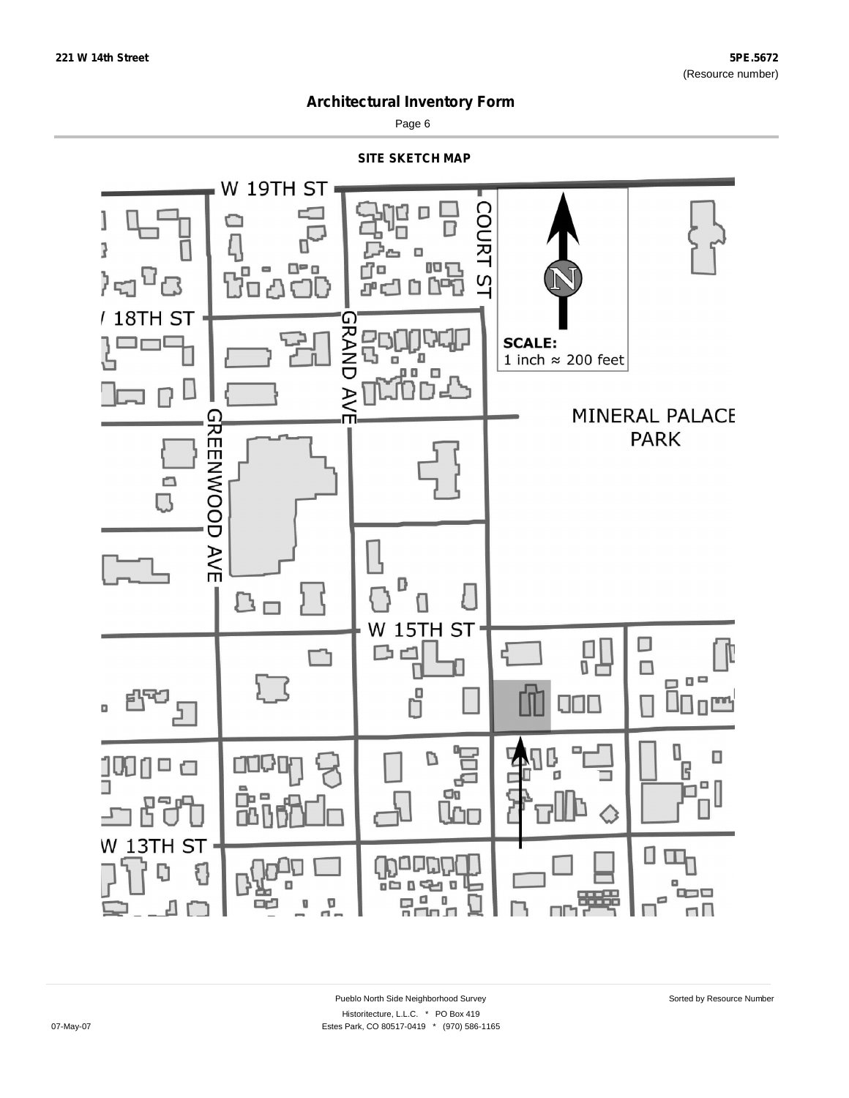

Page 6